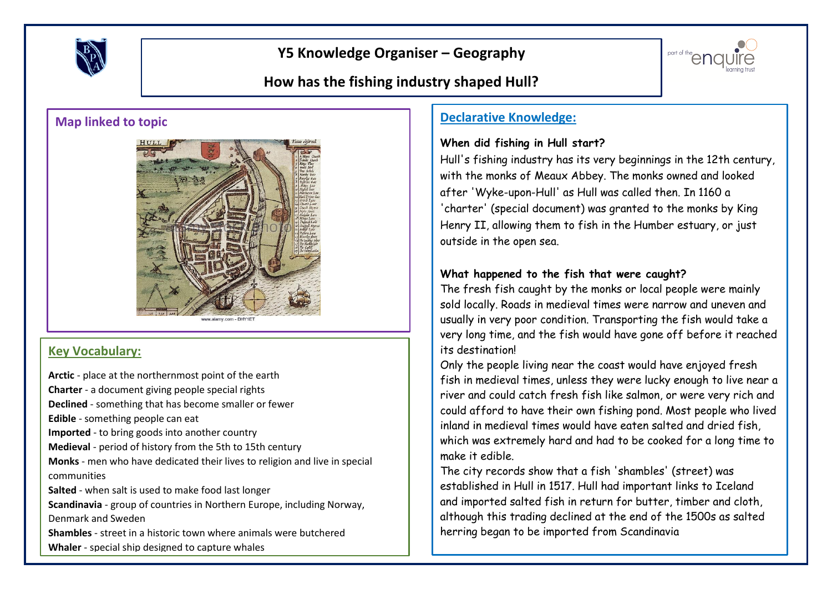

# **Y5 Knowledge Organiser – Geography**



# **How has the fishing industry shaped Hull?**



#### **Key Vocabulary:**

**Arctic** - place at the northernmost point of the earth **Charter** - a document giving people special rights **Declined** - something that has become smaller or fewer **Edible** - something people can eat **Imported** - to bring goods into another country **Medieval** - period of history from the 5th to 15th century **Monks** - men who have dedicated their lives to religion and live in special communities **Salted** - when salt is used to make food last longer **Scandinavia** - group of countries in Northern Europe, including Norway, Denmark and Sweden **Shambles** - street in a historic town where animals were butchered **Whaler** - special ship designed to capture whales

## **Map linked to topic Declarative Knowledge:**

#### **When did fishing in Hull start?**

Hull's fishing industry has its very beginnings in the 12th century, with the monks of Meaux Abbey. The monks owned and looked after 'Wyke-upon-Hull' as Hull was called then. In 1160 a 'charter' (special document) was granted to the monks by King Henry II, allowing them to fish in the Humber estuary, or just outside in the open sea.

### **What happened to the fish that were caught?**

The fresh fish caught by the monks or local people were mainly sold locally. Roads in medieval times were narrow and uneven and usually in very poor condition. Transporting the fish would take a very long time, and the fish would have gone off before it reached its destination!

Only the people living near the coast would have enjoyed fresh fish in medieval times, unless they were lucky enough to live near a river and could catch fresh fish like salmon, or were very rich and could afford to have their own fishing pond. Most people who lived inland in medieval times would have eaten salted and dried fish, which was extremely hard and had to be cooked for a long time to make it edible.

The city records show that a fish 'shambles' (street) was established in Hull in 1517. Hull had important links to Iceland and imported salted fish in return for butter, timber and cloth, although this trading declined at the end of the 1500s as salted herring began to be imported from Scandinavia